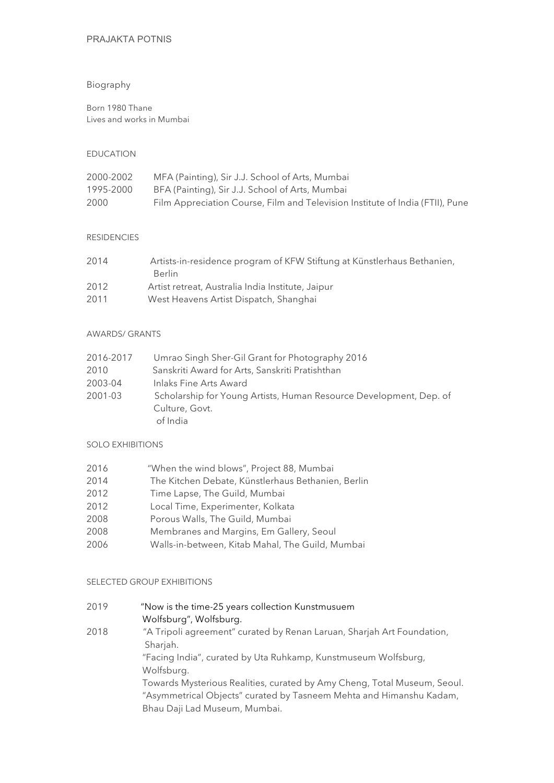# PRAJAKTA POTNIS

## Biography

Born 1980 Thane Lives and works in Mumbai

### EDUCATION

| 2000-2002 | MFA (Painting), Sir J.J. School of Arts, Mumbai                               |
|-----------|-------------------------------------------------------------------------------|
| 1995-2000 | BFA (Painting), Sir J.J. School of Arts, Mumbai                               |
| 2000      | Film Appreciation Course, Film and Television Institute of India (FTII), Pune |

## RESIDENCIES

| 2014 | Artists-in-residence program of KFW Stiftung at Künstlerhaus Bethanien, |
|------|-------------------------------------------------------------------------|
|      | <b>Berlin</b>                                                           |
| 2012 | Artist retreat, Australia India Institute, Jaipur                       |
| 2011 | West Heavens Artist Dispatch, Shanghai                                  |

#### AWARDS/ GRANTS

| 2016-2017 | Umrao Singh Sher-Gil Grant for Photography 2016                    |
|-----------|--------------------------------------------------------------------|
| 2010      | Sanskriti Award for Arts, Sanskriti Pratishthan                    |
| 2003-04   | Inlaks Fine Arts Award                                             |
| 2001-03   | Scholarship for Young Artists, Human Resource Development, Dep. of |
|           | Culture, Govt.                                                     |
|           | of India                                                           |

## SOLO EXHIBITIONS

- 2016 "When the wind blows", Project 88, Mumbai
- 2014 The Kitchen Debate, Künstlerhaus Bethanien, Berlin
- 2012 Time Lapse, The Guild, Mumbai
- 2012 Local Time, Experimenter, Kolkata
- 2008 Porous Walls, The Guild, Mumbai
- 2008 Membranes and Margins, Em Gallery, Seoul
- 2006 Walls-in-between, Kitab Mahal, The Guild, Mumbai

# SELECTED GROUP EXHIBITIONS

| 2019 | "Now is the time-25 years collection Kunstmusuem                         |
|------|--------------------------------------------------------------------------|
|      | Wolfsburg", Wolfsburg.                                                   |
| 2018 | "A Tripoli agreement" curated by Renan Laruan, Sharjah Art Foundation,   |
|      | Sharjah.                                                                 |
|      | "Facing India", curated by Uta Ruhkamp, Kunstmuseum Wolfsburg,           |
|      | Wolfsburg.                                                               |
|      | Towards Mysterious Realities, curated by Amy Cheng, Total Museum, Seoul. |
|      | "Asymmetrical Objects" curated by Tasneem Mehta and Himanshu Kadam,      |
|      | Bhau Daji Lad Museum, Mumbai.                                            |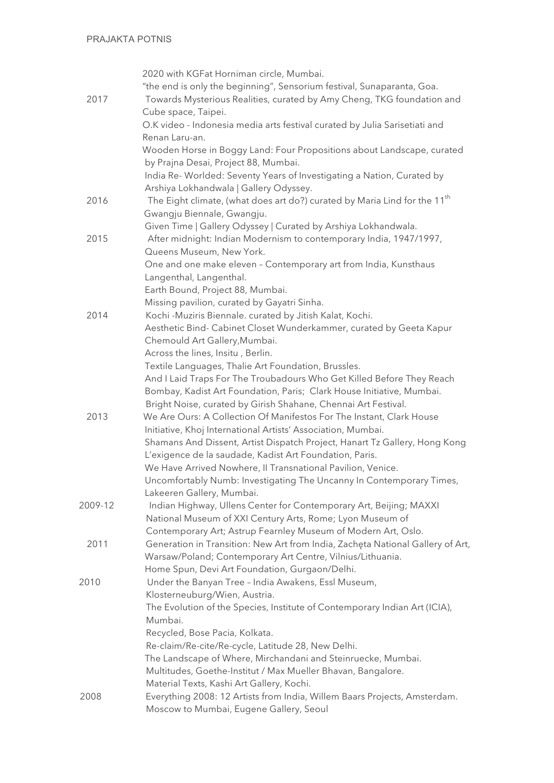|         | 2020 with KGFat Horniman circle, Mumbai.                                                                                     |
|---------|------------------------------------------------------------------------------------------------------------------------------|
|         | "the end is only the beginning", Sensorium festival, Sunaparanta, Goa.                                                       |
| 2017    | Towards Mysterious Realities, curated by Amy Cheng, TKG foundation and                                                       |
|         | Cube space, Taipei.                                                                                                          |
|         | O.K video - Indonesia media arts festival curated by Julia Sarisetiati and                                                   |
|         | Renan Laru-an.                                                                                                               |
|         | Wooden Horse in Boggy Land: Four Propositions about Landscape, curated                                                       |
|         | by Prajna Desai, Project 88, Mumbai.                                                                                         |
|         | India Re-Worlded: Seventy Years of Investigating a Nation, Curated by                                                        |
|         | Arshiya Lokhandwala   Gallery Odyssey.                                                                                       |
| 2016    | The Eight climate, (what does art do?) curated by Maria Lind for the 11 <sup>th</sup>                                        |
|         | Gwangju Biennale, Gwangju.                                                                                                   |
|         | Given Time   Gallery Odyssey   Curated by Arshiya Lokhandwala.                                                               |
| 2015    | After midnight: Indian Modernism to contemporary India, 1947/1997,                                                           |
|         | Queens Museum, New York.                                                                                                     |
|         | One and one make eleven - Contemporary art from India, Kunsthaus                                                             |
|         | Langenthal, Langenthal.                                                                                                      |
|         | Earth Bound, Project 88, Mumbai.                                                                                             |
|         | Missing pavilion, curated by Gayatri Sinha.                                                                                  |
| 2014    | Kochi - Muziris Biennale. curated by Jitish Kalat, Kochi.                                                                    |
|         | Aesthetic Bind- Cabinet Closet Wunderkammer, curated by Geeta Kapur                                                          |
|         | Chemould Art Gallery, Mumbai.                                                                                                |
|         | Across the lines, Insitu, Berlin.                                                                                            |
|         | Textile Languages, Thalie Art Foundation, Brussles.<br>And I Laid Traps For The Troubadours Who Get Killed Before They Reach |
|         | Bombay, Kadist Art Foundation, Paris; Clark House Initiative, Mumbai.                                                        |
|         | Bright Noise, curated by Girish Shahane, Chennai Art Festival.                                                               |
| 2013    | We Are Ours: A Collection Of Manifestos For The Instant, Clark House                                                         |
|         | Initiative, Khoj International Artists' Association, Mumbai.                                                                 |
|         | Shamans And Dissent, Artist Dispatch Project, Hanart Tz Gallery, Hong Kong                                                   |
|         | L'exigence de la saudade, Kadist Art Foundation, Paris.                                                                      |
|         | We Have Arrived Nowhere, II Transnational Pavilion, Venice.                                                                  |
|         | Uncomfortably Numb: Investigating The Uncanny In Contemporary Times,                                                         |
|         | Lakeeren Gallery, Mumbai.                                                                                                    |
| 2009-12 | Indian Highway, Ullens Center for Contemporary Art, Beijing; MAXXI                                                           |
|         | National Museum of XXI Century Arts, Rome; Lyon Museum of                                                                    |
|         | Contemporary Art; Astrup Fearnley Museum of Modern Art, Oslo.                                                                |
| 2011    | Generation in Transition: New Art from India, Zacheta National Gallery of Art,                                               |
|         | Warsaw/Poland; Contemporary Art Centre, Vilnius/Lithuania.                                                                   |
|         | Home Spun, Devi Art Foundation, Gurgaon/Delhi.                                                                               |
| 2010    | Under the Banyan Tree - India Awakens, Essl Museum,                                                                          |
|         | Klosterneuburg/Wien, Austria.                                                                                                |
|         | The Evolution of the Species, Institute of Contemporary Indian Art (ICIA),                                                   |
|         | Mumbai.                                                                                                                      |
|         | Recycled, Bose Pacia, Kolkata.                                                                                               |
|         | Re-claim/Re-cite/Re-cycle, Latitude 28, New Delhi.                                                                           |
|         | The Landscape of Where, Mirchandani and Steinruecke, Mumbai.                                                                 |
|         | Multitudes, Goethe-Institut / Max Mueller Bhavan, Bangalore.                                                                 |
|         | Material Texts, Kashi Art Gallery, Kochi.                                                                                    |
| 2008    | Everything 2008: 12 Artists from India, Willem Baars Projects, Amsterdam.                                                    |
|         | Moscow to Mumbai, Eugene Gallery, Seoul                                                                                      |